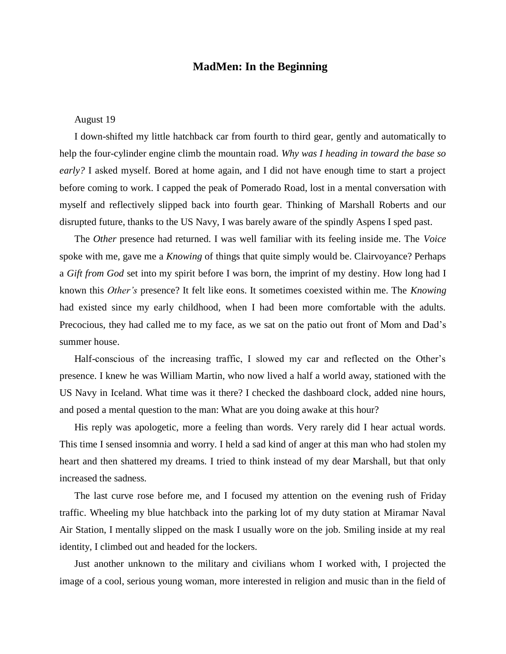## **MadMen: In the Beginning**

## August 19

I down-shifted my little hatchback car from fourth to third gear, gently and automatically to help the four-cylinder engine climb the mountain road. *Why was I heading in toward the base so early?* I asked myself. Bored at home again, and I did not have enough time to start a project before coming to work. I capped the peak of Pomerado Road, lost in a mental conversation with myself and reflectively slipped back into fourth gear. Thinking of Marshall Roberts and our disrupted future, thanks to the US Navy, I was barely aware of the spindly Aspens I sped past.

The *Other* presence had returned. I was well familiar with its feeling inside me. The *Voice* spoke with me, gave me a *Knowing* of things that quite simply would be. Clairvoyance? Perhaps a *Gift from God* set into my spirit before I was born, the imprint of my destiny. How long had I known this *Other's* presence? It felt like eons. It sometimes coexisted within me. The *Knowing* had existed since my early childhood, when I had been more comfortable with the adults. Precocious, they had called me to my face, as we sat on the patio out front of Mom and Dad's summer house.

Half-conscious of the increasing traffic, I slowed my car and reflected on the Other's presence. I knew he was William Martin, who now lived a half a world away, stationed with the US Navy in Iceland. What time was it there? I checked the dashboard clock, added nine hours, and posed a mental question to the man: What are you doing awake at this hour?

His reply was apologetic, more a feeling than words. Very rarely did I hear actual words. This time I sensed insomnia and worry. I held a sad kind of anger at this man who had stolen my heart and then shattered my dreams. I tried to think instead of my dear Marshall, but that only increased the sadness.

The last curve rose before me, and I focused my attention on the evening rush of Friday traffic. Wheeling my blue hatchback into the parking lot of my duty station at Miramar Naval Air Station, I mentally slipped on the mask I usually wore on the job. Smiling inside at my real identity, I climbed out and headed for the lockers.

Just another unknown to the military and civilians whom I worked with, I projected the image of a cool, serious young woman, more interested in religion and music than in the field of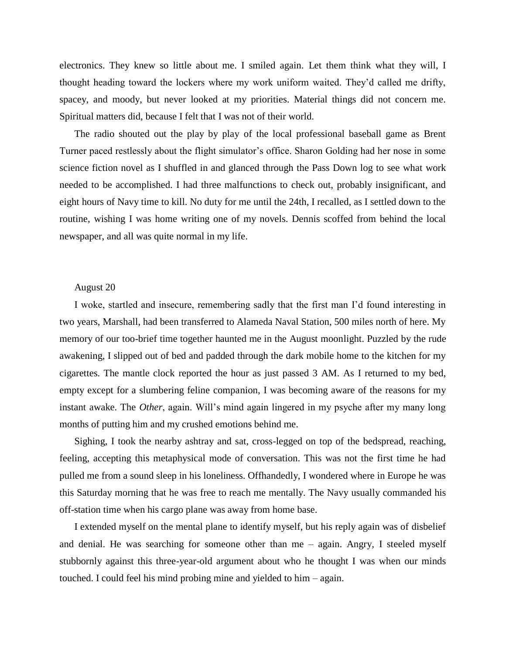electronics. They knew so little about me. I smiled again. Let them think what they will, I thought heading toward the lockers where my work uniform waited. They'd called me drifty, spacey, and moody, but never looked at my priorities. Material things did not concern me. Spiritual matters did, because I felt that I was not of their world.

The radio shouted out the play by play of the local professional baseball game as Brent Turner paced restlessly about the flight simulator's office. Sharon Golding had her nose in some science fiction novel as I shuffled in and glanced through the Pass Down log to see what work needed to be accomplished. I had three malfunctions to check out, probably insignificant, and eight hours of Navy time to kill. No duty for me until the 24th, I recalled, as I settled down to the routine, wishing I was home writing one of my novels. Dennis scoffed from behind the local newspaper, and all was quite normal in my life.

## August 20

I woke, startled and insecure, remembering sadly that the first man I'd found interesting in two years, Marshall, had been transferred to Alameda Naval Station, 500 miles north of here. My memory of our too-brief time together haunted me in the August moonlight. Puzzled by the rude awakening, I slipped out of bed and padded through the dark mobile home to the kitchen for my cigarettes. The mantle clock reported the hour as just passed 3 AM. As I returned to my bed, empty except for a slumbering feline companion, I was becoming aware of the reasons for my instant awake. The *Other*, again. Will's mind again lingered in my psyche after my many long months of putting him and my crushed emotions behind me.

Sighing, I took the nearby ashtray and sat, cross-legged on top of the bedspread, reaching, feeling, accepting this metaphysical mode of conversation. This was not the first time he had pulled me from a sound sleep in his loneliness. Offhandedly, I wondered where in Europe he was this Saturday morning that he was free to reach me mentally. The Navy usually commanded his off-station time when his cargo plane was away from home base.

I extended myself on the mental plane to identify myself, but his reply again was of disbelief and denial. He was searching for someone other than me – again. Angry, I steeled myself stubbornly against this three-year-old argument about who he thought I was when our minds touched. I could feel his mind probing mine and yielded to him – again.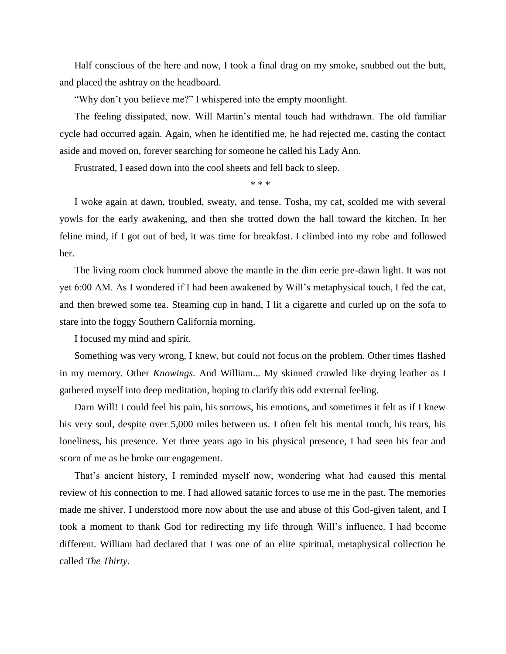Half conscious of the here and now, I took a final drag on my smoke, snubbed out the butt, and placed the ashtray on the headboard.

"Why don't you believe me?" I whispered into the empty moonlight.

The feeling dissipated, now. Will Martin's mental touch had withdrawn. The old familiar cycle had occurred again. Again, when he identified me, he had rejected me, casting the contact aside and moved on, forever searching for someone he called his Lady Ann.

Frustrated, I eased down into the cool sheets and fell back to sleep.

\* \* \*

I woke again at dawn, troubled, sweaty, and tense. Tosha, my cat, scolded me with several yowls for the early awakening, and then she trotted down the hall toward the kitchen. In her feline mind, if I got out of bed, it was time for breakfast. I climbed into my robe and followed her.

The living room clock hummed above the mantle in the dim eerie pre-dawn light. It was not yet 6:00 AM. As I wondered if I had been awakened by Will's metaphysical touch, I fed the cat, and then brewed some tea. Steaming cup in hand, I lit a cigarette and curled up on the sofa to stare into the foggy Southern California morning.

I focused my mind and spirit.

Something was very wrong, I knew, but could not focus on the problem. Other times flashed in my memory. Other *Knowings*. And William... My skinned crawled like drying leather as I gathered myself into deep meditation, hoping to clarify this odd external feeling.

Darn Will! I could feel his pain, his sorrows, his emotions, and sometimes it felt as if I knew his very soul, despite over 5,000 miles between us. I often felt his mental touch, his tears, his loneliness, his presence. Yet three years ago in his physical presence, I had seen his fear and scorn of me as he broke our engagement.

That's ancient history, I reminded myself now, wondering what had caused this mental review of his connection to me. I had allowed satanic forces to use me in the past. The memories made me shiver. I understood more now about the use and abuse of this God-given talent, and I took a moment to thank God for redirecting my life through Will's influence. I had become different. William had declared that I was one of an elite spiritual, metaphysical collection he called *The Thirty*.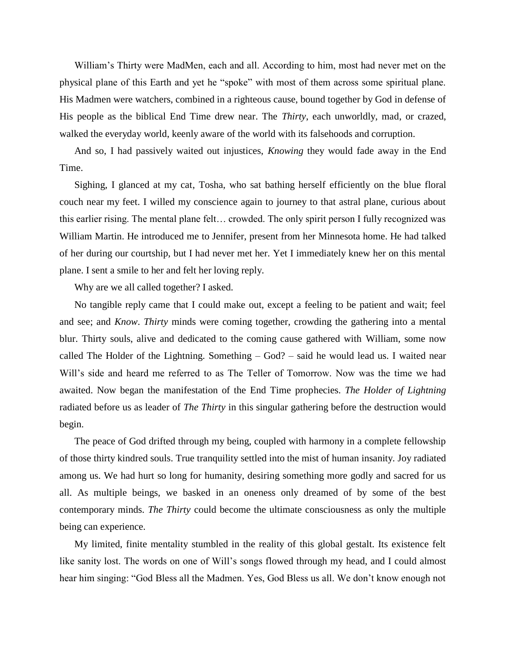William's Thirty were MadMen, each and all. According to him, most had never met on the physical plane of this Earth and yet he "spoke" with most of them across some spiritual plane. His Madmen were watchers, combined in a righteous cause, bound together by God in defense of His people as the biblical End Time drew near. The *Thirty*, each unworldly, mad, or crazed, walked the everyday world, keenly aware of the world with its falsehoods and corruption.

And so, I had passively waited out injustices, *Knowing* they would fade away in the End Time.

Sighing, I glanced at my cat, Tosha, who sat bathing herself efficiently on the blue floral couch near my feet. I willed my conscience again to journey to that astral plane, curious about this earlier rising. The mental plane felt… crowded. The only spirit person I fully recognized was William Martin. He introduced me to Jennifer, present from her Minnesota home. He had talked of her during our courtship, but I had never met her. Yet I immediately knew her on this mental plane. I sent a smile to her and felt her loving reply.

Why are we all called together? I asked.

No tangible reply came that I could make out, except a feeling to be patient and wait; feel and see; and *Know*. *Thirty* minds were coming together, crowding the gathering into a mental blur. Thirty souls, alive and dedicated to the coming cause gathered with William, some now called The Holder of the Lightning. Something – God? – said he would lead us. I waited near Will's side and heard me referred to as The Teller of Tomorrow. Now was the time we had awaited. Now began the manifestation of the End Time prophecies. *The Holder of Lightning* radiated before us as leader of *The Thirty* in this singular gathering before the destruction would begin.

The peace of God drifted through my being, coupled with harmony in a complete fellowship of those thirty kindred souls. True tranquility settled into the mist of human insanity. Joy radiated among us. We had hurt so long for humanity, desiring something more godly and sacred for us all. As multiple beings, we basked in an oneness only dreamed of by some of the best contemporary minds. *The Thirty* could become the ultimate consciousness as only the multiple being can experience.

My limited, finite mentality stumbled in the reality of this global gestalt. Its existence felt like sanity lost. The words on one of Will's songs flowed through my head, and I could almost hear him singing: "God Bless all the Madmen. Yes, God Bless us all. We don't know enough not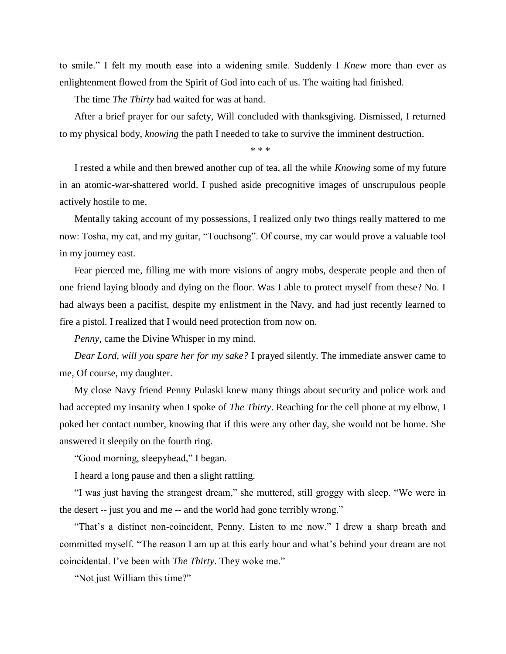to smile." I felt my mouth ease into a widening smile. Suddenly I *Knew* more than ever as enlightenment flowed from the Spirit of God into each of us. The waiting had finished.

The time *The Thirty* had waited for was at hand.

After a brief prayer for our safety, Will concluded with thanksgiving. Dismissed, I returned to my physical body, *knowing* the path I needed to take to survive the imminent destruction.

\* \* \*

I rested a while and then brewed another cup of tea, all the while *Knowing* some of my future in an atomic-war-shattered world. I pushed aside precognitive images of unscrupulous people actively hostile to me.

Mentally taking account of my possessions, I realized only two things really mattered to me now: Tosha, my cat, and my guitar, "Touchsong". Of course, my car would prove a valuable tool in my journey east.

Fear pierced me, filling me with more visions of angry mobs, desperate people and then of one friend laying bloody and dying on the floor. Was I able to protect myself from these? No. I had always been a pacifist, despite my enlistment in the Navy, and had just recently learned to fire a pistol. I realized that I would need protection from now on.

*Penny*, came the Divine Whisper in my mind.

*Dear Lord, will you spare her for my sake?* I prayed silently. The immediate answer came to me, Of course, my daughter.

My close Navy friend Penny Pulaski knew many things about security and police work and had accepted my insanity when I spoke of *The Thirty*. Reaching for the cell phone at my elbow, I poked her contact number, knowing that if this were any other day, she would not be home. She answered it sleepily on the fourth ring.

"Good morning, sleepyhead," I began.

I heard a long pause and then a slight rattling.

"I was just having the strangest dream," she muttered, still groggy with sleep. "We were in the desert -- just you and me -- and the world had gone terribly wrong."

"That's a distinct non-coincident, Penny. Listen to me now." I drew a sharp breath and committed myself. "The reason I am up at this early hour and what's behind your dream are not coincidental. I've been with *The Thirty*. They woke me."

"Not just William this time?"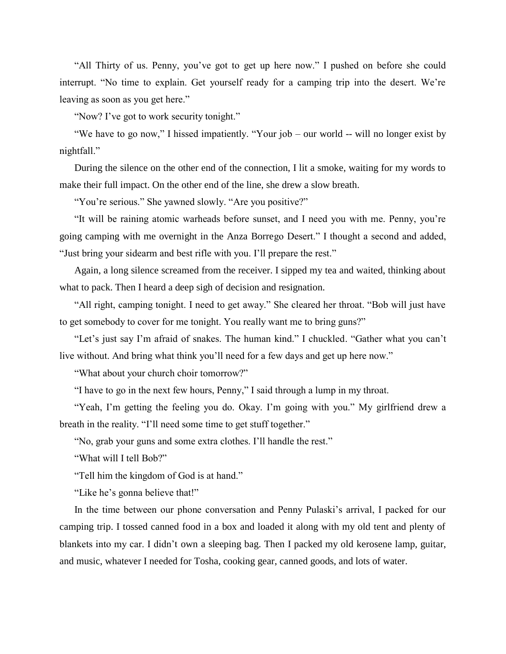"All Thirty of us. Penny, you've got to get up here now." I pushed on before she could interrupt. "No time to explain. Get yourself ready for a camping trip into the desert. We're leaving as soon as you get here."

"Now? I've got to work security tonight."

"We have to go now," I hissed impatiently. "Your job – our world -- will no longer exist by nightfall."

During the silence on the other end of the connection, I lit a smoke, waiting for my words to make their full impact. On the other end of the line, she drew a slow breath.

"You're serious." She yawned slowly. "Are you positive?"

"It will be raining atomic warheads before sunset, and I need you with me. Penny, you're going camping with me overnight in the Anza Borrego Desert." I thought a second and added, "Just bring your sidearm and best rifle with you. I'll prepare the rest."

Again, a long silence screamed from the receiver. I sipped my tea and waited, thinking about what to pack. Then I heard a deep sigh of decision and resignation.

"All right, camping tonight. I need to get away." She cleared her throat. "Bob will just have to get somebody to cover for me tonight. You really want me to bring guns?"

"Let's just say I'm afraid of snakes. The human kind." I chuckled. "Gather what you can't live without. And bring what think you'll need for a few days and get up here now."

"What about your church choir tomorrow?"

"I have to go in the next few hours, Penny," I said through a lump in my throat.

"Yeah, I'm getting the feeling you do. Okay. I'm going with you." My girlfriend drew a breath in the reality. "I'll need some time to get stuff together."

"No, grab your guns and some extra clothes. I'll handle the rest."

"What will I tell Bob?"

"Tell him the kingdom of God is at hand."

"Like he's gonna believe that!"

In the time between our phone conversation and Penny Pulaski's arrival, I packed for our camping trip. I tossed canned food in a box and loaded it along with my old tent and plenty of blankets into my car. I didn't own a sleeping bag. Then I packed my old kerosene lamp, guitar, and music, whatever I needed for Tosha, cooking gear, canned goods, and lots of water.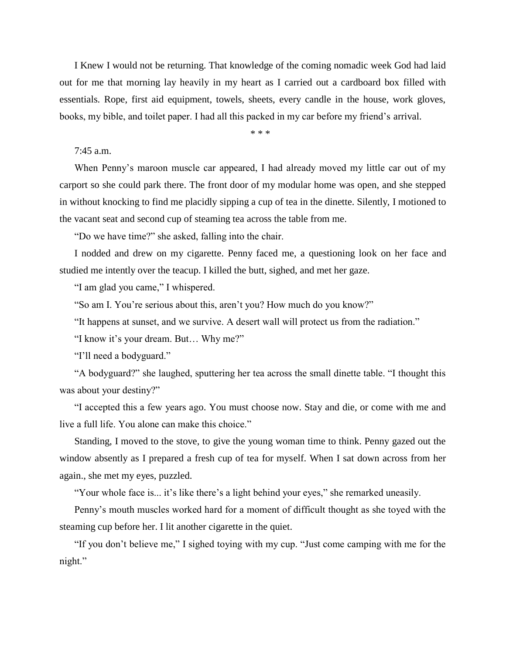I Knew I would not be returning. That knowledge of the coming nomadic week God had laid out for me that morning lay heavily in my heart as I carried out a cardboard box filled with essentials. Rope, first aid equipment, towels, sheets, every candle in the house, work gloves, books, my bible, and toilet paper. I had all this packed in my car before my friend's arrival.

\* \* \*

## 7:45 a.m.

When Penny's maroon muscle car appeared, I had already moved my little car out of my carport so she could park there. The front door of my modular home was open, and she stepped in without knocking to find me placidly sipping a cup of tea in the dinette. Silently, I motioned to the vacant seat and second cup of steaming tea across the table from me.

"Do we have time?" she asked, falling into the chair.

I nodded and drew on my cigarette. Penny faced me, a questioning look on her face and studied me intently over the teacup. I killed the butt, sighed, and met her gaze.

"I am glad you came," I whispered.

"So am I. You're serious about this, aren't you? How much do you know?"

"It happens at sunset, and we survive. A desert wall will protect us from the radiation."

"I know it's your dream. But… Why me?"

"I'll need a bodyguard."

"A bodyguard?" she laughed, sputtering her tea across the small dinette table. "I thought this was about your destiny?"

"I accepted this a few years ago. You must choose now. Stay and die, or come with me and live a full life. You alone can make this choice."

Standing, I moved to the stove, to give the young woman time to think. Penny gazed out the window absently as I prepared a fresh cup of tea for myself. When I sat down across from her again., she met my eyes, puzzled.

"Your whole face is... it's like there's a light behind your eyes," she remarked uneasily.

Penny's mouth muscles worked hard for a moment of difficult thought as she toyed with the steaming cup before her. I lit another cigarette in the quiet.

"If you don't believe me," I sighed toying with my cup. "Just come camping with me for the night."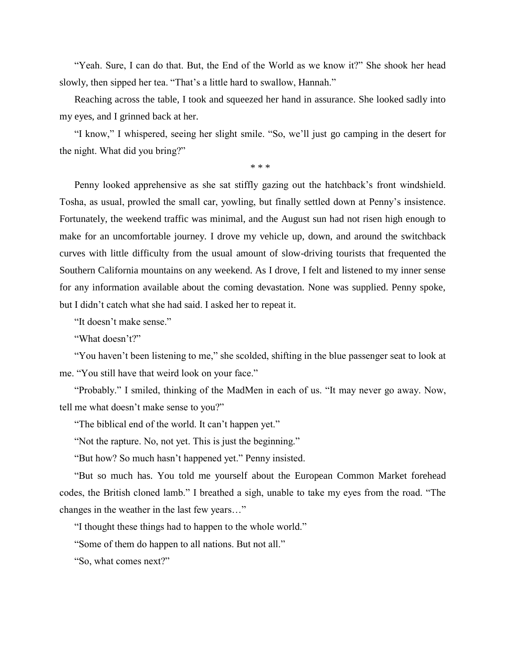"Yeah. Sure, I can do that. But, the End of the World as we know it?" She shook her head slowly, then sipped her tea. "That's a little hard to swallow, Hannah."

Reaching across the table, I took and squeezed her hand in assurance. She looked sadly into my eyes, and I grinned back at her.

"I know," I whispered, seeing her slight smile. "So, we'll just go camping in the desert for the night. What did you bring?"

\* \* \*

Penny looked apprehensive as she sat stiffly gazing out the hatchback's front windshield. Tosha, as usual, prowled the small car, yowling, but finally settled down at Penny's insistence. Fortunately, the weekend traffic was minimal, and the August sun had not risen high enough to make for an uncomfortable journey. I drove my vehicle up, down, and around the switchback curves with little difficulty from the usual amount of slow-driving tourists that frequented the Southern California mountains on any weekend. As I drove, I felt and listened to my inner sense for any information available about the coming devastation. None was supplied. Penny spoke, but I didn't catch what she had said. I asked her to repeat it.

"It doesn't make sense."

"What doesn't?"

"You haven't been listening to me," she scolded, shifting in the blue passenger seat to look at me. "You still have that weird look on your face."

"Probably." I smiled, thinking of the MadMen in each of us. "It may never go away. Now, tell me what doesn't make sense to you?"

"The biblical end of the world. It can't happen yet."

"Not the rapture. No, not yet. This is just the beginning."

"But how? So much hasn't happened yet." Penny insisted.

"But so much has. You told me yourself about the European Common Market forehead codes, the British cloned lamb." I breathed a sigh, unable to take my eyes from the road. "The changes in the weather in the last few years…"

"I thought these things had to happen to the whole world."

"Some of them do happen to all nations. But not all."

"So, what comes next?"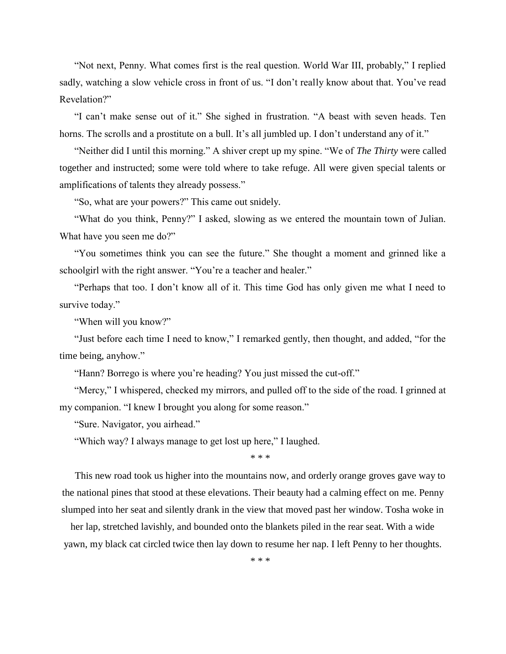"Not next, Penny. What comes first is the real question. World War III, probably," I replied sadly, watching a slow vehicle cross in front of us. "I don't really know about that. You've read Revelation?"

"I can't make sense out of it." She sighed in frustration. "A beast with seven heads. Ten horns. The scrolls and a prostitute on a bull. It's all jumbled up. I don't understand any of it."

"Neither did I until this morning." A shiver crept up my spine. "We of *The Thirty* were called together and instructed; some were told where to take refuge. All were given special talents or amplifications of talents they already possess."

"So, what are your powers?" This came out snidely.

"What do you think, Penny?" I asked, slowing as we entered the mountain town of Julian. What have you seen me do?"

"You sometimes think you can see the future." She thought a moment and grinned like a schoolgirl with the right answer. "You're a teacher and healer."

"Perhaps that too. I don't know all of it. This time God has only given me what I need to survive today."

"When will you know?"

"Just before each time I need to know," I remarked gently, then thought, and added, "for the time being, anyhow."

"Hann? Borrego is where you're heading? You just missed the cut-off."

"Mercy," I whispered, checked my mirrors, and pulled off to the side of the road. I grinned at my companion. "I knew I brought you along for some reason."

"Sure. Navigator, you airhead."

"Which way? I always manage to get lost up here," I laughed.

\* \* \*

This new road took us higher into the mountains now, and orderly orange groves gave way to the national pines that stood at these elevations. Their beauty had a calming effect on me. Penny slumped into her seat and silently drank in the view that moved past her window. Tosha woke in

her lap, stretched lavishly, and bounded onto the blankets piled in the rear seat. With a wide yawn, my black cat circled twice then lay down to resume her nap. I left Penny to her thoughts.

\* \* \*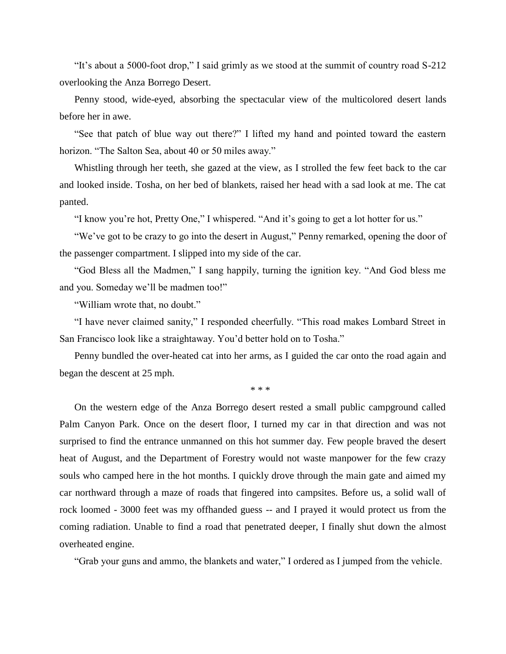"It's about a 5000-foot drop," I said grimly as we stood at the summit of country road S-212 overlooking the Anza Borrego Desert.

Penny stood, wide-eyed, absorbing the spectacular view of the multicolored desert lands before her in awe.

"See that patch of blue way out there?" I lifted my hand and pointed toward the eastern horizon. "The Salton Sea, about 40 or 50 miles away."

Whistling through her teeth, she gazed at the view, as I strolled the few feet back to the car and looked inside. Tosha, on her bed of blankets, raised her head with a sad look at me. The cat panted.

"I know you're hot, Pretty One," I whispered. "And it's going to get a lot hotter for us."

"We've got to be crazy to go into the desert in August," Penny remarked, opening the door of the passenger compartment. I slipped into my side of the car.

"God Bless all the Madmen," I sang happily, turning the ignition key. "And God bless me and you. Someday we'll be madmen too!"

"William wrote that, no doubt."

"I have never claimed sanity," I responded cheerfully. "This road makes Lombard Street in San Francisco look like a straightaway. You'd better hold on to Tosha."

Penny bundled the over-heated cat into her arms, as I guided the car onto the road again and began the descent at 25 mph.

\* \* \*

On the western edge of the Anza Borrego desert rested a small public campground called Palm Canyon Park. Once on the desert floor, I turned my car in that direction and was not surprised to find the entrance unmanned on this hot summer day. Few people braved the desert heat of August, and the Department of Forestry would not waste manpower for the few crazy souls who camped here in the hot months. I quickly drove through the main gate and aimed my car northward through a maze of roads that fingered into campsites. Before us, a solid wall of rock loomed - 3000 feet was my offhanded guess -- and I prayed it would protect us from the coming radiation. Unable to find a road that penetrated deeper, I finally shut down the almost overheated engine.

"Grab your guns and ammo, the blankets and water," I ordered as I jumped from the vehicle.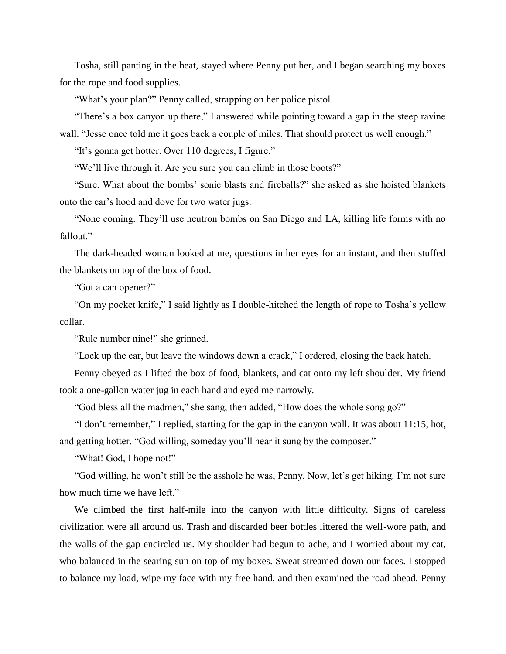Tosha, still panting in the heat, stayed where Penny put her, and I began searching my boxes for the rope and food supplies.

"What's your plan?" Penny called, strapping on her police pistol.

"There's a box canyon up there," I answered while pointing toward a gap in the steep ravine wall. "Jesse once told me it goes back a couple of miles. That should protect us well enough."

"It's gonna get hotter. Over 110 degrees, I figure."

"We'll live through it. Are you sure you can climb in those boots?"

"Sure. What about the bombs' sonic blasts and fireballs?" she asked as she hoisted blankets onto the car's hood and dove for two water jugs.

"None coming. They'll use neutron bombs on San Diego and LA, killing life forms with no fallout."

The dark-headed woman looked at me, questions in her eyes for an instant, and then stuffed the blankets on top of the box of food.

"Got a can opener?"

"On my pocket knife," I said lightly as I double-hitched the length of rope to Tosha's yellow collar.

"Rule number nine!" she grinned.

"Lock up the car, but leave the windows down a crack," I ordered, closing the back hatch.

Penny obeyed as I lifted the box of food, blankets, and cat onto my left shoulder. My friend took a one-gallon water jug in each hand and eyed me narrowly.

"God bless all the madmen," she sang, then added, "How does the whole song go?"

"I don't remember," I replied, starting for the gap in the canyon wall. It was about 11:15, hot, and getting hotter. "God willing, someday you'll hear it sung by the composer."

"What! God, I hope not!"

"God willing, he won't still be the asshole he was, Penny. Now, let's get hiking. I'm not sure how much time we have left."

We climbed the first half-mile into the canyon with little difficulty. Signs of careless civilization were all around us. Trash and discarded beer bottles littered the well-wore path, and the walls of the gap encircled us. My shoulder had begun to ache, and I worried about my cat, who balanced in the searing sun on top of my boxes. Sweat streamed down our faces. I stopped to balance my load, wipe my face with my free hand, and then examined the road ahead. Penny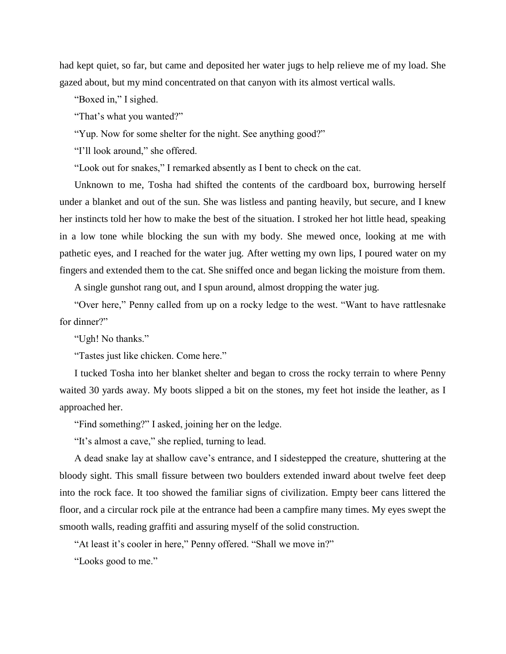had kept quiet, so far, but came and deposited her water jugs to help relieve me of my load. She gazed about, but my mind concentrated on that canyon with its almost vertical walls.

"Boxed in," I sighed.

"That's what you wanted?"

"Yup. Now for some shelter for the night. See anything good?"

"I'll look around," she offered.

"Look out for snakes," I remarked absently as I bent to check on the cat.

Unknown to me, Tosha had shifted the contents of the cardboard box, burrowing herself under a blanket and out of the sun. She was listless and panting heavily, but secure, and I knew her instincts told her how to make the best of the situation. I stroked her hot little head, speaking in a low tone while blocking the sun with my body. She mewed once, looking at me with pathetic eyes, and I reached for the water jug. After wetting my own lips, I poured water on my fingers and extended them to the cat. She sniffed once and began licking the moisture from them.

A single gunshot rang out, and I spun around, almost dropping the water jug.

"Over here," Penny called from up on a rocky ledge to the west. "Want to have rattlesnake for dinner?"

"Ugh! No thanks."

"Tastes just like chicken. Come here."

I tucked Tosha into her blanket shelter and began to cross the rocky terrain to where Penny waited 30 yards away. My boots slipped a bit on the stones, my feet hot inside the leather, as I approached her.

"Find something?" I asked, joining her on the ledge.

"It's almost a cave," she replied, turning to lead.

A dead snake lay at shallow cave's entrance, and I sidestepped the creature, shuttering at the bloody sight. This small fissure between two boulders extended inward about twelve feet deep into the rock face. It too showed the familiar signs of civilization. Empty beer cans littered the floor, and a circular rock pile at the entrance had been a campfire many times. My eyes swept the smooth walls, reading graffiti and assuring myself of the solid construction.

"At least it's cooler in here," Penny offered. "Shall we move in?"

"Looks good to me."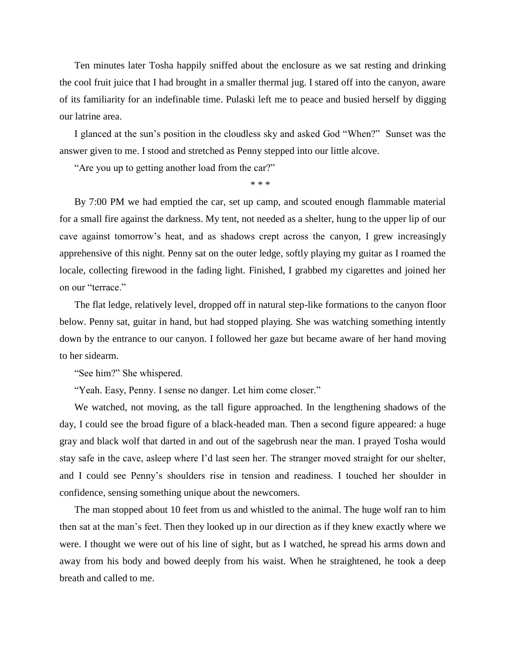Ten minutes later Tosha happily sniffed about the enclosure as we sat resting and drinking the cool fruit juice that I had brought in a smaller thermal jug. I stared off into the canyon, aware of its familiarity for an indefinable time. Pulaski left me to peace and busied herself by digging our latrine area.

I glanced at the sun's position in the cloudless sky and asked God "When?" Sunset was the answer given to me. I stood and stretched as Penny stepped into our little alcove.

"Are you up to getting another load from the car?"

\* \* \*

By 7:00 PM we had emptied the car, set up camp, and scouted enough flammable material for a small fire against the darkness. My tent, not needed as a shelter, hung to the upper lip of our cave against tomorrow's heat, and as shadows crept across the canyon, I grew increasingly apprehensive of this night. Penny sat on the outer ledge, softly playing my guitar as I roamed the locale, collecting firewood in the fading light. Finished, I grabbed my cigarettes and joined her on our "terrace."

The flat ledge, relatively level, dropped off in natural step-like formations to the canyon floor below. Penny sat, guitar in hand, but had stopped playing. She was watching something intently down by the entrance to our canyon. I followed her gaze but became aware of her hand moving to her sidearm.

"See him?" She whispered.

"Yeah. Easy, Penny. I sense no danger. Let him come closer."

We watched, not moving, as the tall figure approached. In the lengthening shadows of the day, I could see the broad figure of a black-headed man. Then a second figure appeared: a huge gray and black wolf that darted in and out of the sagebrush near the man. I prayed Tosha would stay safe in the cave, asleep where I'd last seen her. The stranger moved straight for our shelter, and I could see Penny's shoulders rise in tension and readiness. I touched her shoulder in confidence, sensing something unique about the newcomers.

The man stopped about 10 feet from us and whistled to the animal. The huge wolf ran to him then sat at the man's feet. Then they looked up in our direction as if they knew exactly where we were. I thought we were out of his line of sight, but as I watched, he spread his arms down and away from his body and bowed deeply from his waist. When he straightened, he took a deep breath and called to me.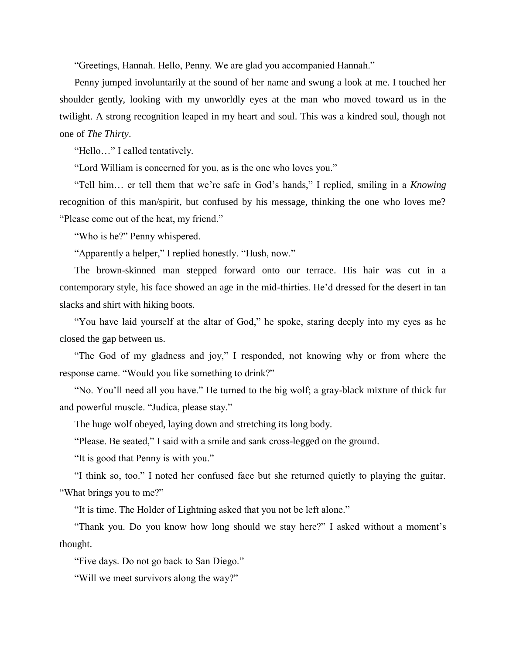"Greetings, Hannah. Hello, Penny. We are glad you accompanied Hannah."

Penny jumped involuntarily at the sound of her name and swung a look at me. I touched her shoulder gently, looking with my unworldly eyes at the man who moved toward us in the twilight. A strong recognition leaped in my heart and soul. This was a kindred soul, though not one of *The Thirty*.

"Hello…" I called tentatively.

"Lord William is concerned for you, as is the one who loves you."

"Tell him… er tell them that we're safe in God's hands," I replied, smiling in a *Knowing* recognition of this man/spirit, but confused by his message, thinking the one who loves me? "Please come out of the heat, my friend."

"Who is he?" Penny whispered.

"Apparently a helper," I replied honestly. "Hush, now."

The brown-skinned man stepped forward onto our terrace. His hair was cut in a contemporary style, his face showed an age in the mid-thirties. He'd dressed for the desert in tan slacks and shirt with hiking boots.

"You have laid yourself at the altar of God," he spoke, staring deeply into my eyes as he closed the gap between us.

"The God of my gladness and joy," I responded, not knowing why or from where the response came. "Would you like something to drink?"

"No. You'll need all you have." He turned to the big wolf; a gray-black mixture of thick fur and powerful muscle. "Judica, please stay."

The huge wolf obeyed, laying down and stretching its long body.

"Please. Be seated," I said with a smile and sank cross-legged on the ground.

"It is good that Penny is with you."

"I think so, too." I noted her confused face but she returned quietly to playing the guitar. "What brings you to me?"

"It is time. The Holder of Lightning asked that you not be left alone."

"Thank you. Do you know how long should we stay here?" I asked without a moment's thought.

"Five days. Do not go back to San Diego."

"Will we meet survivors along the way?"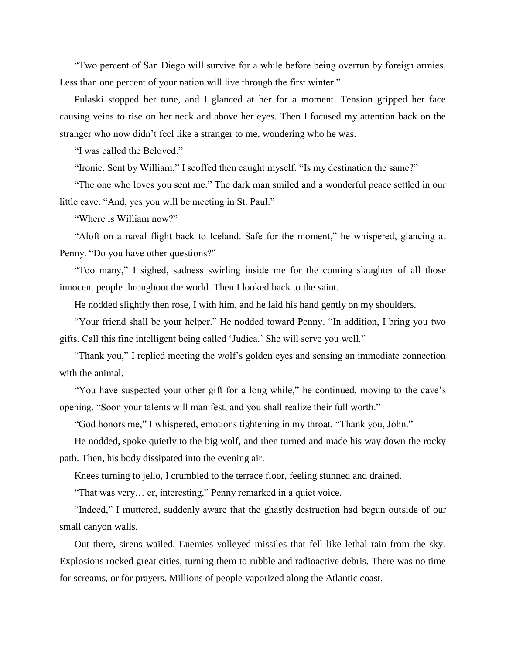"Two percent of San Diego will survive for a while before being overrun by foreign armies. Less than one percent of your nation will live through the first winter."

Pulaski stopped her tune, and I glanced at her for a moment. Tension gripped her face causing veins to rise on her neck and above her eyes. Then I focused my attention back on the stranger who now didn't feel like a stranger to me, wondering who he was.

"I was called the Beloved."

"Ironic. Sent by William," I scoffed then caught myself. "Is my destination the same?"

"The one who loves you sent me." The dark man smiled and a wonderful peace settled in our little cave. "And, yes you will be meeting in St. Paul."

"Where is William now?"

"Aloft on a naval flight back to Iceland. Safe for the moment," he whispered, glancing at Penny. "Do you have other questions?"

"Too many," I sighed, sadness swirling inside me for the coming slaughter of all those innocent people throughout the world. Then I looked back to the saint.

He nodded slightly then rose, I with him, and he laid his hand gently on my shoulders.

"Your friend shall be your helper." He nodded toward Penny. "In addition, I bring you two gifts. Call this fine intelligent being called 'Judica.' She will serve you well."

"Thank you," I replied meeting the wolf's golden eyes and sensing an immediate connection with the animal.

"You have suspected your other gift for a long while," he continued, moving to the cave's opening. "Soon your talents will manifest, and you shall realize their full worth."

"God honors me," I whispered, emotions tightening in my throat. "Thank you, John."

He nodded, spoke quietly to the big wolf, and then turned and made his way down the rocky path. Then, his body dissipated into the evening air.

Knees turning to jello, I crumbled to the terrace floor, feeling stunned and drained.

"That was very… er, interesting," Penny remarked in a quiet voice.

"Indeed," I muttered, suddenly aware that the ghastly destruction had begun outside of our small canyon walls.

Out there, sirens wailed. Enemies volleyed missiles that fell like lethal rain from the sky. Explosions rocked great cities, turning them to rubble and radioactive debris. There was no time for screams, or for prayers. Millions of people vaporized along the Atlantic coast.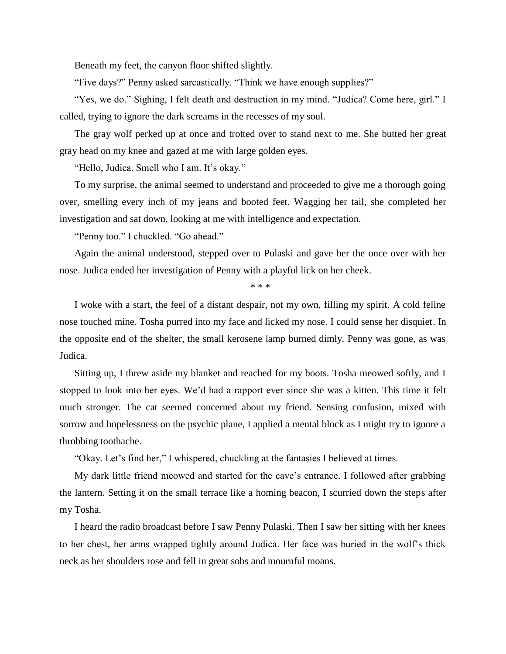Beneath my feet, the canyon floor shifted slightly.

"Five days?" Penny asked sarcastically. "Think we have enough supplies?"

"Yes, we do." Sighing, I felt death and destruction in my mind. "Judica? Come here, girl." I called, trying to ignore the dark screams in the recesses of my soul.

The gray wolf perked up at once and trotted over to stand next to me. She butted her great gray head on my knee and gazed at me with large golden eyes.

"Hello, Judica. Smell who I am. It's okay."

To my surprise, the animal seemed to understand and proceeded to give me a thorough going over, smelling every inch of my jeans and booted feet. Wagging her tail, she completed her investigation and sat down, looking at me with intelligence and expectation.

"Penny too." I chuckled. "Go ahead."

Again the animal understood, stepped over to Pulaski and gave her the once over with her nose. Judica ended her investigation of Penny with a playful lick on her cheek.

\* \* \*

I woke with a start, the feel of a distant despair, not my own, filling my spirit. A cold feline nose touched mine. Tosha purred into my face and licked my nose. I could sense her disquiet. In the opposite end of the shelter, the small kerosene lamp burned dimly. Penny was gone, as was Judica.

Sitting up, I threw aside my blanket and reached for my boots. Tosha meowed softly, and I stopped to look into her eyes. We'd had a rapport ever since she was a kitten. This time it felt much stronger. The cat seemed concerned about my friend. Sensing confusion, mixed with sorrow and hopelessness on the psychic plane, I applied a mental block as I might try to ignore a throbbing toothache.

"Okay. Let's find her," I whispered, chuckling at the fantasies I believed at times.

My dark little friend meowed and started for the cave's entrance. I followed after grabbing the lantern. Setting it on the small terrace like a homing beacon, I scurried down the steps after my Tosha.

I heard the radio broadcast before I saw Penny Pulaski. Then I saw her sitting with her knees to her chest, her arms wrapped tightly around Judica. Her face was buried in the wolf's thick neck as her shoulders rose and fell in great sobs and mournful moans.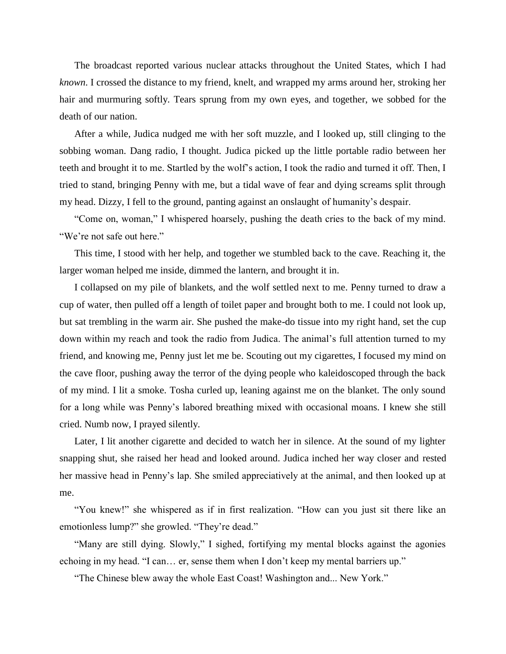The broadcast reported various nuclear attacks throughout the United States, which I had *known*. I crossed the distance to my friend, knelt, and wrapped my arms around her, stroking her hair and murmuring softly. Tears sprung from my own eyes, and together, we sobbed for the death of our nation.

After a while, Judica nudged me with her soft muzzle, and I looked up, still clinging to the sobbing woman. Dang radio, I thought. Judica picked up the little portable radio between her teeth and brought it to me. Startled by the wolf's action, I took the radio and turned it off. Then, I tried to stand, bringing Penny with me, but a tidal wave of fear and dying screams split through my head. Dizzy, I fell to the ground, panting against an onslaught of humanity's despair.

"Come on, woman," I whispered hoarsely, pushing the death cries to the back of my mind. "We're not safe out here."

This time, I stood with her help, and together we stumbled back to the cave. Reaching it, the larger woman helped me inside, dimmed the lantern, and brought it in.

I collapsed on my pile of blankets, and the wolf settled next to me. Penny turned to draw a cup of water, then pulled off a length of toilet paper and brought both to me. I could not look up, but sat trembling in the warm air. She pushed the make-do tissue into my right hand, set the cup down within my reach and took the radio from Judica. The animal's full attention turned to my friend, and knowing me, Penny just let me be. Scouting out my cigarettes, I focused my mind on the cave floor, pushing away the terror of the dying people who kaleidoscoped through the back of my mind. I lit a smoke. Tosha curled up, leaning against me on the blanket. The only sound for a long while was Penny's labored breathing mixed with occasional moans. I knew she still cried. Numb now, I prayed silently.

Later, I lit another cigarette and decided to watch her in silence. At the sound of my lighter snapping shut, she raised her head and looked around. Judica inched her way closer and rested her massive head in Penny's lap. She smiled appreciatively at the animal, and then looked up at me.

"You knew!" she whispered as if in first realization. "How can you just sit there like an emotionless lump?" she growled. "They're dead."

"Many are still dying. Slowly," I sighed, fortifying my mental blocks against the agonies echoing in my head. "I can… er, sense them when I don't keep my mental barriers up."

"The Chinese blew away the whole East Coast! Washington and... New York."